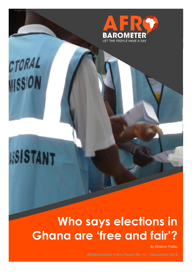

# CTORAL WISSION

## **ISISTANT**

### **Who says elections in Ghana are 'free and fair'?**

By Sharon Parku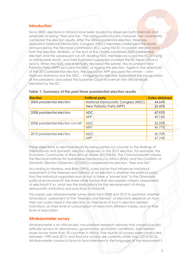#### **Introduction**

Since 2000, elections in Ghana have been lauded by observers both internally and externally as being "free and fair." The losing political party, however, has consistently contested the election results. After the 2004 presidential election, three key opposition National Democratic Congress (NDC) members challenged the results announced by the Electoral Commission (EC), suing the EC to publish detailed data from the election. Similarly, at the end of the closely contested 2008 presidential election and the subsequent run-off, leading NDC members accused the EC of trying to manipulate results, and their frustrated supporters invaded the EC head office in Accra. When the NDC was eventually declared the winner, the incumbent New Patriotic Party (NPP) accused the NDC of rigging the election. Again in the aftermath of the 2012 presidential election, the opposition NPP accused the winner – John Dramani Mahama and the NDC – of rigging the election, boycotted the inauguration of the president, and asked the Supreme Court to overturn the official results declared by the EC.

| <b>Election</b>                    | <b>Political party</b>             | <b>Votes obtained</b> |  |
|------------------------------------|------------------------------------|-----------------------|--|
| 2004 presidential election         | National Democratic Congress (NDC) | 44.64%                |  |
|                                    | New Patriotic Party (NPP)          | 52.45%                |  |
| 2008 presidential election         | <b>NDC</b>                         | 47.92%                |  |
|                                    | <b>NPP</b>                         | 49.13%                |  |
| 2008 presidential election run-off | <b>NDC</b>                         | 50.23%                |  |
|                                    | <b>NPP</b>                         | 49.77%                |  |
| 2012 presidential election         | NDC                                | 50.70%                |  |
|                                    | <b>NPP</b>                         | 47.74%                |  |

#### **Table 1: Summary of the past three presidential election results**

These objections to electoral results by losing parties run counter to the findings of international and domestic election observers. In the 2012 election, for example, the Economic Community of West African States (ECOWAS), the Commonwealth mission, the Electoral Institute for Sustainable Democracy in Africa (EISA), and the Coalition of Domestic Election Observers (CODEO) considered the election "free and fair."

According to Nadeau and Blais (1993), a key factor that influences individual assessment of the freeness and fairness of an election is whether the political party that the individual supported won or lost. Is there a "winner bias" in the Ghanaian political environment? Are there other factors that also explain citizens' assessments of elections? If so, what are the implications for the development of strong democratic institutions and practices in Ghana?

This paper uses Afrobarometer survey data from 2008 and 2012 to examine whether Ghanaians' assessment of the "freeness and fairness" of elections depends on how their own party fared in the election, on their level of trust in election-related institutions, on their level of consumption of news from different media, and on their level of education.

#### **Afrobarometer survey**

Afrobarometer is an African-led, non-partisan research network that conducts public attitude surveys on democracy, governance, economic conditions, and related issues across more than 30 countries in Africa. Five rounds of surveys were conducted between 1999 and 2013, and Round 6 surveys are currently under way (2014-2015). Afrobarometer conducts face-to-face interviews in the language of the respondent's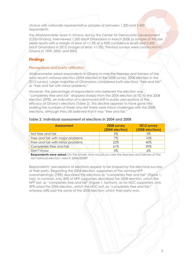choice with nationally representative samples of between 1,200 and 2,400 respondents.

The Afrobarometer team in Ghana, led by the Center for Democratic Development (CDD-Ghana), interviewed 1,200 adult Ghanaians in March 2008 (a sample of this size yields results with a margin of error of +/-3% at a 95% confidence level) and 2,400 adult Ghanaians in 2012 (margin of error: +/-2%). Previous surveys were conducted in Ghana in 1999, 2002, and 2005.

#### **Findings**

#### *Perceptions and party affiliation*

Afrobarometer asked respondents in Ghana to rate the freeness and fairness of the most recent national election (2004 election in the 2008 survey, 2008 election in the 2012 survey). Large majorities of Ghanaians considered both elections "free and fair" or "free and fair with minor problems."

However, the percentage of respondents who believed the election was "completely free and fair" dropped sharply from the 2004 election (61%) to the 2008 election (39%), an indication of a downward shift in public perceptions of the efficacy of Ghana's elections (Table 2). This decline appears to have gone into swelling the numbers of those who felt there were minor challenges with the 2008 elections, although they still believed that it was "free and fair."

#### **Table 2: Individual assessment of elections in 2004 and 2008**

| <b>Assessment</b>                 | 2008 survey<br>(2004 election) | 2012 survey<br>(2008 elections) |
|-----------------------------------|--------------------------------|---------------------------------|
| Not free and fair                 | 5%                             | 5%                              |
| Free and fair with major problems | 7%                             | 10%                             |
| Free and fair with minor problems | 22%                            | 40%                             |
| Completely free and fair          | 61%                            | 39%                             |
| Don't know                        | 5%                             | $6\%$                           |

**Respondents were asked:** *On the whole, how would you rate the freeness and fairness of the last national election, held in 2004/2008?*

Respondents' perceptions of elections appear to be shaped by the electoral success of their party. Regarding the 2004 election, supporters of the winning NPP overwhelmingly (78%) described the elections as "completely free and fair" (Figure 1, top). In contrast, only 30% of NPP supporters described the 2008 election, which the NPP lost, as "completely free and fair" (Figure 1, bottom). As for NDC supporters, only 39% rated the 2004 election, which the NDC lost, as "completely free and fair," whereas 54% said the same of the 2008 election, which their party won.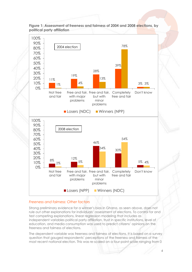

**Figure 1: Assessment of freeness and fairness of 2004 and 2008 elections, by political party affiliation**

#### *Freeness and fairness: Other factors*

Strong preliminary evidence for a winner's bias in Ghana, as seen above, does not rule out other explanations for individuals' assessment of elections. To control for and test competing explanations, linear regression modeling that includes as independent variables political party affiliation, trust in specific institutions, level of education, and media consumption was used to predict citizens' opinions on the freeness and fairness of elections.

The dependent variable was freeness and fairness of elections. It is based on a survey question that gauged respondents' perceptions of the freeness and fairness of the most recent national election. This was re-scaled on a four-point scale ranging from 0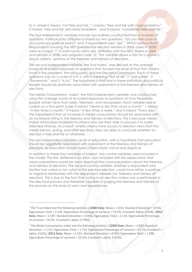to 3, where 0 means "not free and fair," 1 means "free and fair with major problems," 2 means "free and fair with minor problems," and 3 means "completely free and fair."

The four independent variables include two indexes constructed from a number of questions. Political party affiliation is based on two questions: "Do you feel close to any particular political party?" and, if respondents said "yes," "Which party is that?" Respondents favoring the NPP (presidential election winners in 2004, losers in 2008) were re-coded "1" in both survey data sets. Affiliation with the NDC (losers in 2004 and winners in 2008) was assigned code "0." This variable allows a test for a winner's bias in citizens' opinions of the freeness and fairness of elections.

The second independent variable, the Trust Index<sup>1</sup>, was derived as the average scores of re-scaled responses to questions that tracked the level of trust that citizens have in the president, the ruling party, and the Electoral Commission. Each of these questions was on a scale of 0 to 3, with 0 meaning "Not at all," 1 "Just a little," 2 "Somewhat," and 3 "A lot." The hypothesis is that trust in these institutions and political leaders should be positively associated with assessment of the freeness and fairness of elections.

The Media Consumption Index2, the third independent variable, was constructed using the average scores of re-scaled responses to questions on how frequently people obtain news from radio, television, and newspapers. Each variable was recoded on a four-point scale: 0 means "Never or less than once a month," 1 means "A few times a month," 2 means "A few times a week," and 3 means "Every day." The hypothesis is that an increase in media consumption should be associated with an increased rating in the freeness and fairness of elections. This is because media makes information available to citizens who are then able to process it to make informed choices. As a result, where citizens have access to election news from the media before, during, and after elections, they are able to conclude whether an election is free and fair or otherwise.

The last independent variable is level of education, with a hypothesis that education should be negatively associated with assessment of the freeness and fairness of elections, as education should make citizens more critical and skeptical.

In addition to these four variables of interest, two control variables were included in the model. The first, settlement location, was included with the expectation that urban populations would be more skeptical than rural populations about the freeness and fairness of elections. The second control variable, whether a respondent said he/she had voted or not voted in the previous election, could have either a positive or negative relationship with the dependent variable (i.e. freeness and fairness of election). This is due to the fact that voting in an election makes one a participant in the electoral process and therefore capable of judging the freeness and fairness of the process on the basis of one's own experiences.

 $\overline{a}$ 

<sup>&</sup>lt;sup>1</sup> The Trust Index had the following statistics: [(2008 Data: Mean = 2.033; Standard Deviation = 0.916; Eigenvalues Total = 2.234, Eigenvalues Percentage of variance = 74.5%; Cronbach Alpha, 0.828); (**2012 Data:** Mean = 1.597; Standard Deviation = 0.916; Eigenvalues Total = 2.114, Eigenvalues Percentage of variance = 70.5%; Cronbach's alpha, 0.790)].

<sup>2</sup> The Media Consumption Index had the following statistics: [(**2008 Data:** Mean = 2.097; Standard Deviation = 1.113; Eigenvalues Total = 1.714, Eigenvalues Percentage of variance = 57.1%; Cronbach's alpha, 0.623); (**2012 Data:** Mean = 2.101; Standard Deviation = 0.993; Eigenvalues Total = 1.598, Eigenvalues Percentage of variance = 53.3%; Cronbach's alpha, 0.559)].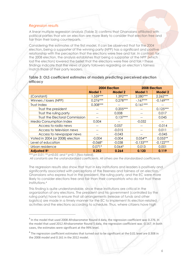#### *Regression results*

A linear multiple regression analysis (Table 3) confirms that Ghanaians affiliated with political parties that win an election are more likely to consider that election free and fair than their losing counterparts.

Considering the estimates of the first model, it can be observed that for the 2004 election, being a supporter of the winning party (NPP) has a significant and positive relationship with the perception that the elections were free and fair. In contrast, for the 2008 election, the analysis establishes that being a supporter of the NPP (which lost the election) lowered the belief that the elections were free and fair.<sup>3</sup> These findings indicate that the views of party followers regarding an election's fairness match those of their party leaders.

|          | Table 3: OLS coefficient estimates of models predicting perceived election |  |  |
|----------|----------------------------------------------------------------------------|--|--|
| efficacy |                                                                            |  |  |

|                                  | 2004 Election  |            | 2008 Election  |                |
|----------------------------------|----------------|------------|----------------|----------------|
|                                  | <b>Model 1</b> | Model 2    | <b>Model 1</b> | <b>Model 2</b> |
| (Constant)                       | $1.559***$     | $1.392***$ | $2.280***$     | $2.262***$     |
| Winners / losers (NPP)           | $0.276***$     | $0.278***$ | $-167***$      | $-0.169***$    |
| Trust Index                      | $0.308***$     |            | $0.161***$     |                |
| Trust the president              | --             | $0.205***$ | --             | $0.125***$     |
| Trust the ruling party           |                | 0.008      |                | 0.017          |
| Trust the Electoral Commission   |                | $0.137***$ |                | 0.045          |
| <b>Media Consumption Index</b>   | 0.004          | $-$        | $-0.032$       | --             |
| Access to radio news             |                | 0.057      |                | $-0.014$       |
| Access to television news        | --             | $-0.015$   | --             | 0.011          |
| Access to newspaper news         | --             | $-0.043$   | --             | $-0.045$       |
| Voted in 2004 (or 2008) election | $-0.004$       | $-0.004$   | $0.054**$      | $0.055**$      |
| Level of education               | $-0.068*$      | $-0.038$   | $-0.133***$    | $-0.122***$    |
| Urban residence                  | $0.071*$       | $0.064*$   | 0.013          | 0.001          |
| <b>Adjusted R2</b>               | 0.252          | 0.264      | 0.120          | 0.119          |

*\*\*\* p< 0.01; \*\* p<0.05; and \* p<0.1 (two-tailed).*

 $\overline{a}$ 

*All constants are the unstandardized coefficients. All others are the standardized coefficients.*

The regression results also show that trust in key institutions and leaders is positively and significantly associated with perceptions of the freeness and fairness of an election. Ghanaians who express trust in the president, the ruling party, and the EC were more likely to consider elections free and fair than their compatriots who do not trust these institutions.<sup>4</sup>

This finding is quite understandable, since these institutions are critical in the organization of any elections. The president and his government (controlled by the ruling party) have to ensure that all arrangements (release of funds and other logistics) are made in a timely manner for the EC to implement its election-related activities and the elections according to schedule. Thus, where citizens have high

<sup>&</sup>lt;sup>3</sup> In the model that used 2008 Afrobarometer Round 4 data, the regression coefficient was 0.276. In the model that used 2012 Afrobarometer Round 5 data, the regression coefficient was -0.167. In both cases, the estimates were significant at the 99% level.

<sup>&</sup>lt;sup>4</sup> The regression coefficient estimates that turned out to be significant at the 0.01 level are 0.308 in the 2008 model and 0.161 in the 2012 model.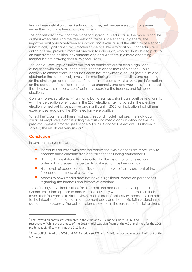trust in these institutions, the likelihood that they will perceive elections organized under their watch as free and fair is quite high.

The analysis also shows that the higher an individual's education, the more critical he or she is when assessing the freeness and fairness of elections. In general, the negative relationship between education and evaluation of the efficacy of elections is statistically significant across models.<sup>5</sup> One possible explanation is that education enlightens and provides more information to individuals, who are thus able to pick up on cues from the political environment and analyze them in a more discerning manner before drawing their own conclusions.

The Media Consumption Index showed no consistent or statistically significant association with the evaluation of the freeness and fairness of elections. This is contrary to expectations, because Ghana has many media houses (both print and electronic) that are actively involved in monitoring election activities and reporting on the challenges and successes of electoral processes. Most citizens get information on the conduct of elections through these channels, and one would have expected that these would shape citizens' opinions regarding the freeness and fairness of elections.

Contrary to expectations, living in an urban area has a significant positive relationship with the perception of efficacy in the 2004 election. Having voted in the previous election turned out to be positive and significant in 2008, an indication that citizens' experiences regarding the 2004 election were positive.

To test the robustness of these findings, a second model that uses the individual variables employed in constructing the trust and media consumption indexes as predictors were estimated (see Model 2 for 2004 and 2008 elections). As shown in Table 3, the results are very similar.<sup>6</sup>

#### **Conclusion**

 $\overline{a}$ 

In sum, this analysis shows that:

- Individuals affiliated with political parties that win elections are more likely to consider those elections free and fair than their losing counterparts.
- High trust in institutions that are critical in the organization of elections potentially increases the perception of elections as free and fair.
- High levels of education contribute to a more skeptical assessment of the freeness and fairness of elections.
- Access to news media does not have a significant impact on perceptions regarding the freeness and fairness of elections.

These findings have implications for electoral and democratic development in Ghana. Politicians appear to endorse elections only when the outcome is in their favor. Their followers take similar views. Such a lack of objectivity represents a threat to the integrity of the election management body and the public faith underpinning democratic processes. The political class should be in the forefront of building strong

 $<sup>5</sup>$  The regression coefficient estimates in the 2008 and 2012 models were -0.068 and -0.133,</sup> respectively. While the estimate of the 2012 model was significant at the 0.01 level, that for the 2008 model was significant only at the 0.10 level.

 $^6$  The coefficients of the 2008 and 2012 models (0.278 and -0.169, respectively) were significant at the 0.01 level.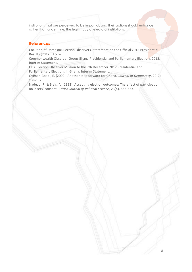institutions that are perceived to be impartial, and their actions should enhance, rather than undermine, the legitimacy of electoral institutions.

#### **References**

Coalition of Domestic Election Observers. Statement on the Official 2012 Presidential Results (2012), Accra.

Commonwealth Observer Group Ghana Presidential and Parliamentary Elections 2012. Interim Statement.

EISA Election Observer Mission to the 7th December 2012 Presidential and Parliamentary Elections in Ghana. Interim Statement.

Gyimah-Boadi, E. (2009). Another step forward for Ghana. *Journal of Democracy*, 20(2), 138-152.

Nadeau, R. & Blais, A. (1993). Accepting election outcomes: The effect of participation on losers' consent. *British Journal of Political Science*, 23(4), 553-563.

8